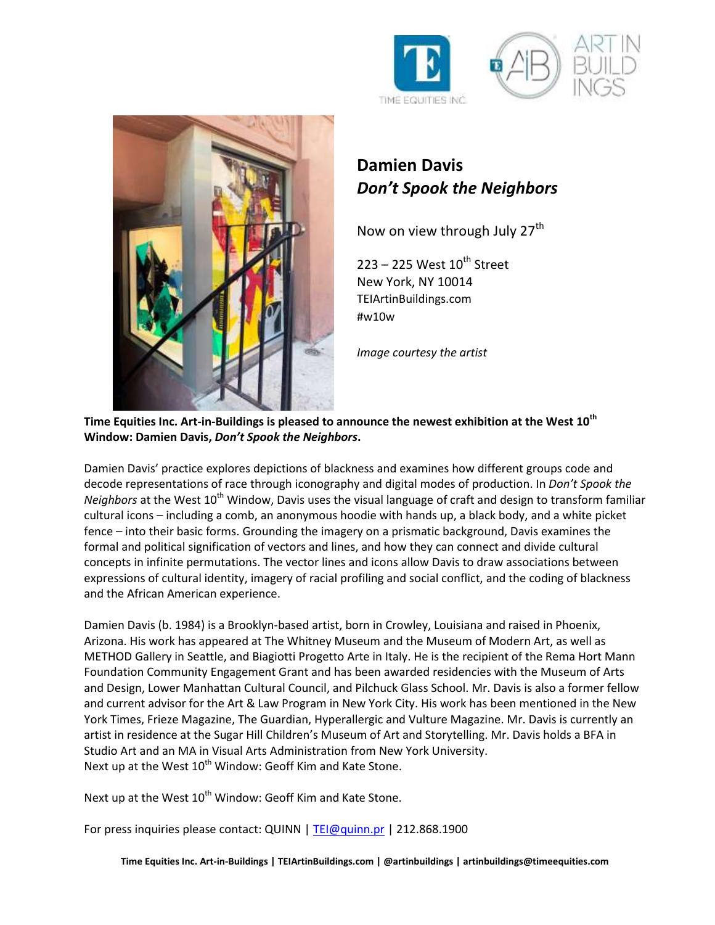





## **Damien Davis** *Don't Spook the Neighbors*

Now on view through July  $27<sup>th</sup>$ 

 $223 - 225$  West  $10^{th}$  Street New York, NY 10014 TEIArtinBuildings.com #w10w

*Image courtesy the artist*

**Time Equities Inc. Art-in-Buildings is pleased to announce the newest exhibition at the West 10th Window: Damien Davis,** *Don't Spook the Neighbors***.** 

Damien Davis' practice explores depictions of blackness and examines how different groups code and decode representations of race through iconography and digital modes of production. In *Don't Spook the Neighbors* at the West 10<sup>th</sup> Window, Davis uses the visual language of craft and design to transform familiar cultural icons – including a comb, an anonymous hoodie with hands up, a black body, and a white picket fence – into their basic forms. Grounding the imagery on a prismatic background, Davis examines the formal and political signification of vectors and lines, and how they can connect and divide cultural concepts in infinite permutations. The vector lines and icons allow Davis to draw associations between expressions of cultural identity, imagery of racial profiling and social conflict, and the coding of blackness and the African American experience.

Damien Davis (b. 1984) is a Brooklyn-based artist, born in Crowley, Louisiana and raised in Phoenix, Arizona. His work has appeared at The Whitney Museum and the Museum of Modern Art, as well as METHOD Gallery in Seattle, and Biagiotti Progetto Arte in Italy. He is the recipient of the Rema Hort Mann Foundation Community Engagement Grant and has been awarded residencies with the Museum of Arts and Design, Lower Manhattan Cultural Council, and Pilchuck Glass School. Mr. Davis is also a former fellow and current advisor for the Art & Law Program in New York City. His work has been mentioned in the New York Times, Frieze Magazine, The Guardian, Hyperallergic and Vulture Magazine. Mr. Davis is currently an artist in residence at the Sugar Hill Children's Museum of Art and Storytelling. Mr. Davis holds a BFA in Studio Art and an MA in Visual Arts Administration from New York University. Next up at the West 10<sup>th</sup> Window: Geoff Kim and Kate Stone.

Next up at the West 10<sup>th</sup> Window: Geoff Kim and Kate Stone.

For press inquiries please contact: QUINN | [TEI@quinn.pr](mailto:TEI@quinn.pr) | 212.868.1900